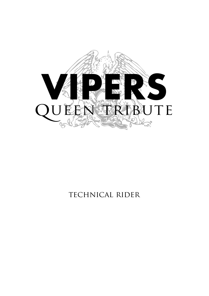

### TECHNICAL RIDER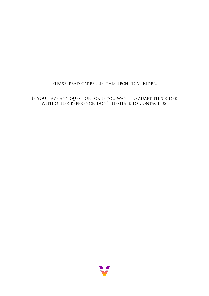#### Please, read carefully this Technical Rider.

If you have any question, or if you want to adapt this rider with other reference, don't hesitate to contact us.

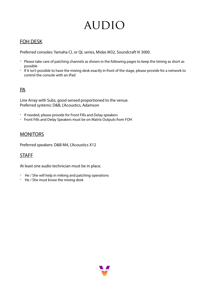### **AUDIO**

### FOH DESK

Preferred consoles: Yamaha CL or QL series, Midas M32, Soundcraft Vi 3000.

- Please take care of patching channels as shown in the following pages to keep the timing as short as possible
- If it isn't possible to have the mixing desk exactly in front of the stage, please provide for a network to control the console with an iPad

### PA

Line Array with Subs, good sensed proportioned to the venue. Preferred systems: D&B, L'Acoustics, Adamson

- If needed, please provide for Front Fills and Delay speakers
- Front Fills and Delay Speakers must be on Matrix Outputs from FOH

### **MONITORS**

Preferred speakers: D&B M4, L'Acoustics X12

### STAFF

At least one audio technician must be in place.

- He / She will help in miking and patching operations
- He / She must know the mixing desk

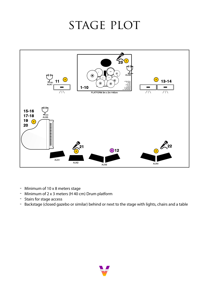### STAGE PLOT



- Minimum of 10 x 8 meters stage
- Minimum of 2 x 3 meters (H 40 cm) Drum platform
- Stairs for stage access
- Backstage (closed gazebo or similar) behind or next to the stage with lights, chairs and a table

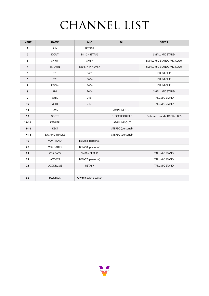## CHANNEL LIST

| <b>INPUT</b>            | <b>NAME</b>           | <b>MIC</b>            | <b>D.I.</b>       | <b>SPECS</b>                  |
|-------------------------|-----------------------|-----------------------|-------------------|-------------------------------|
| $\mathbf{1}$            | K IN                  | BETA91                |                   |                               |
| $\overline{2}$          | <b>KOUT</b>           | D112 / BETA52         |                   | SMALL MIC STAND               |
| 3                       | SN UP                 | <b>SM57</b>           |                   | SMALL MIC STAND / MIC CLAW    |
| $\overline{4}$          | SN DWN                | E604 / 414 / SM57     |                   | SMALL MIC STAND / MIC CLAW    |
| 5                       | T <sub>1</sub>        | C451                  |                   | <b>DRUM CLIP</b>              |
| 6                       | T <sub>2</sub>        | E604                  |                   | <b>DRUM CLIP</b>              |
| $\overline{\mathbf{z}}$ | <b>FTOM</b>           | E604                  |                   | <b>DRUM CLIP</b>              |
| 8                       | <b>HH</b>             | E604                  |                   | <b>SMALL MIC STAND</b>        |
| $\mathbf{9}$            | OH <sub>L</sub>       | C451                  |                   | <b>TALL MIC STAND</b>         |
| 10                      | OH <sub>R</sub>       | C451                  |                   | <b>TALL MIC STAND</b>         |
| 11                      | <b>BASS</b>           |                       | AMP LINE-OUT      |                               |
| 12                      | AC GTR                |                       | DI BOX REQUIRED   | Preferred brands: RADIAL, BSS |
| $13 - 14$               | <b>KEMPER</b>         |                       | AMP LINE-OUT      |                               |
| $15 - 16$               | <b>KEYS</b>           |                       | STEREO (personal) |                               |
| $17 - 18$               | <b>BACKING TRACKS</b> |                       | STEREO (personal) |                               |
| 19                      | <b>VOX PIANO</b>      | BETA58 (personal)     |                   |                               |
| 20                      | <b>VOX RADIO</b>      | BETA58 (personal)     |                   |                               |
| 21                      | <b>VOX BASS</b>       | <b>SM58 / BETA58</b>  |                   | <b>TALL MIC STAND</b>         |
| 22                      | <b>VOX GTR</b>        | BETA57 (personal)     |                   | <b>TALL MIC STAND</b>         |
| 23                      | <b>VOX DRUMS</b>      | BETA57                |                   | <b>TALL MIC STAND</b>         |
|                         |                       |                       |                   |                               |
| 32                      | <b>TALKBACK</b>       | Any mic with a switch |                   |                               |

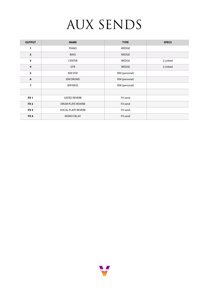# AUX SENDS

| <b>OUTPUT</b>   | <b>NAME</b>               | <b>TYPE</b>    | <b>SPECS</b> |
|-----------------|---------------------------|----------------|--------------|
| 1               | <b>PIANO</b>              | WEDGE          |              |
| $\overline{2}$  | <b>BASS</b>               | <b>WEDGE</b>   |              |
| 3               | <b>CENTER</b>             | <b>WEDGE</b>   | 2 Linked     |
| 4               | <b>GTR</b>                | WEDGE          | 2 Linked     |
| 5               | <b>IEM VOX</b>            | IEM (personal) |              |
| 6               | <b>IEM DRUMS</b>          | IEM (personal) |              |
| $\overline{7}$  | <b>IEM BASS</b>           | IEM (personal) |              |
|                 |                           |                |              |
| FX <sub>1</sub> | <b>GATED REVERB</b>       | FX send        |              |
| <b>FX2</b>      | <b>DRUM PLATE REVERB</b>  | FX send        |              |
| FX <sub>3</sub> | <b>VOCAL PLATE REVERB</b> | FX send        |              |
| FX4             | <b>MONO DELAY</b>         | FX send        |              |

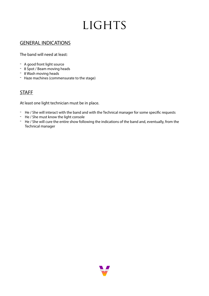## LIGHTS

#### GENERAL INDICATIONS

The band will need at least:

- A good front light source
- 8 Spot / Beam moving heads
- 8 Wash moving heads
- Haze machines (commensurate to the stage)

### **STAFF**

At least one light technician must be in place.

- He / She will interact with the band and with the Technical manager for some specifc requests
- He / She must know the light console
- He / She will cure the entire show following the indications of the band and, eventually, from the Technical manager

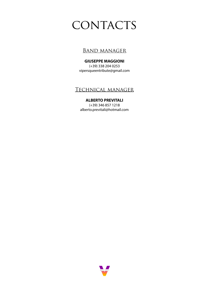### CONTACTS

### **BAND MANAGER**

**GIUSEPPE MAGGIONI** (+39) 338 204 0253 [vipersqueentribute@gmail.com](mailto:vipersqueentribute@gmail.com) 

### Technical manager

#### **ALBERTO PREVITALI**

(+39) 346 857 1218 [alberto.previtali@hotmail.com](mailto:alberto.previtali@hotmail.com)